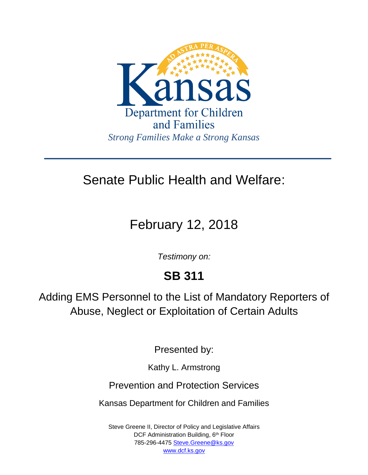

### Senate Public Health and Welfare:

# February 12, 2018

*Testimony on:*

## **SB 311**

Adding EMS Personnel to the List of Mandatory Reporters of Abuse, Neglect or Exploitation of Certain Adults

Presented by:

Kathy L. Armstrong

Prevention and Protection Services

Kansas Department for Children and Families

Steve Greene II, Director of Policy and Legislative Affairs DCF Administration Building, 6<sup>th</sup> Floor 785-296-4475 [Steve.Greene@ks.gov](mailto:Steve.Greene@ks.gov) [www.dcf.ks.gov](http://www.dcf.ks.gov/)